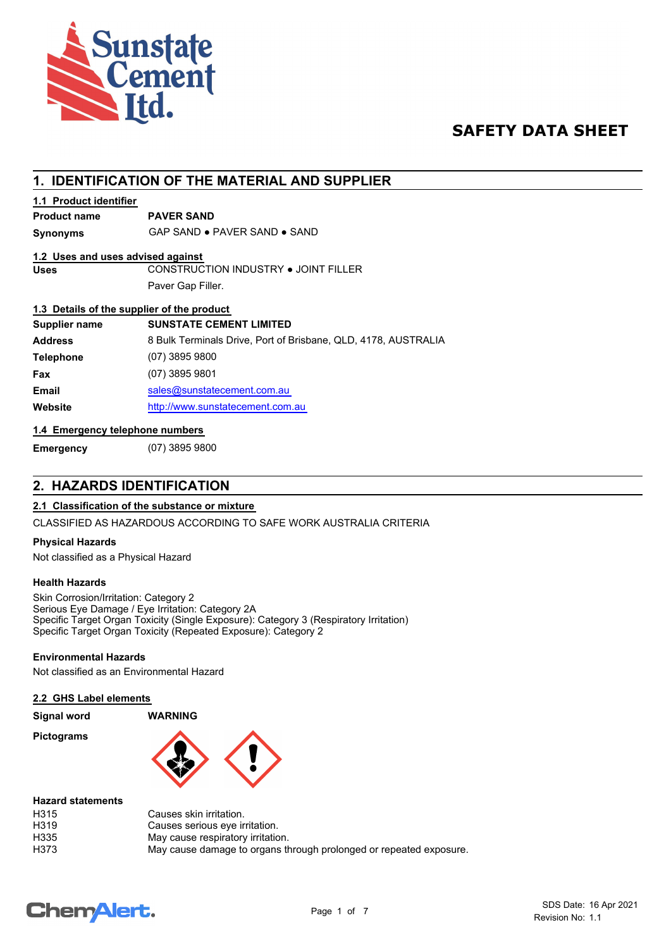

## **SAFETY DATA SHEET**

## **1. IDENTIFICATION OF THE MATERIAL AND SUPPLIER**

### **1.1 Product identifier**

## **Product name PAVER SAND**

**Synonyms** GAP SAND ● PAVER SAND ● SAND

#### **1.2 Uses and uses advised against**

**Uses** CONSTRUCTION INDUSTRY ● JOINT FILLER Paver Gap Filler.

#### **1.3 Details of the supplier of the product**

| Supplier name    | <b>SUNSTATE CEMENT LIMITED</b>                                 |
|------------------|----------------------------------------------------------------|
| <b>Address</b>   | 8 Bulk Terminals Drive, Port of Brisbane, QLD, 4178, AUSTRALIA |
| <b>Telephone</b> | $(07)$ 3895 9800                                               |
| Fax              | $(07)$ 3895 9801                                               |
| <b>Email</b>     | sales@sunstatecement.com.au                                    |
| Website          | http://www.sunstatecement.com.au                               |

#### **1.4 Emergency telephone numbers**

**Emergency** (07) 3895 9800

## **2. HAZARDS IDENTIFICATION**

#### **2.1 Classification of the substance or mixture**

CLASSIFIED AS HAZARDOUS ACCORDING TO SAFE WORK AUSTRALIA CRITERIA

#### **Physical Hazards**

Not classified as a Physical Hazard

#### **Health Hazards**

Skin Corrosion/Irritation: Category 2 Serious Eye Damage / Eye Irritation: Category 2A Specific Target Organ Toxicity (Single Exposure): Category 3 (Respiratory Irritation) Specific Target Organ Toxicity (Repeated Exposure): Category 2

#### **Environmental Hazards**

Not classified as an Environmental Hazard

#### **2.2 GHS Label elements**

| <b>Signal word</b> | <b>WARNING</b> |  |
|--------------------|----------------|--|
| <b>Pictograms</b>  |                |  |

| <b>Hazard statements</b> |                                                                    |
|--------------------------|--------------------------------------------------------------------|
| H315                     | Causes skin irritation.                                            |
| H <sub>319</sub>         | Causes serious eye irritation.                                     |
| H335                     | May cause respiratory irritation.                                  |
| H373                     | May cause damage to organs through prolonged or repeated exposure. |

# **ChemAlert.**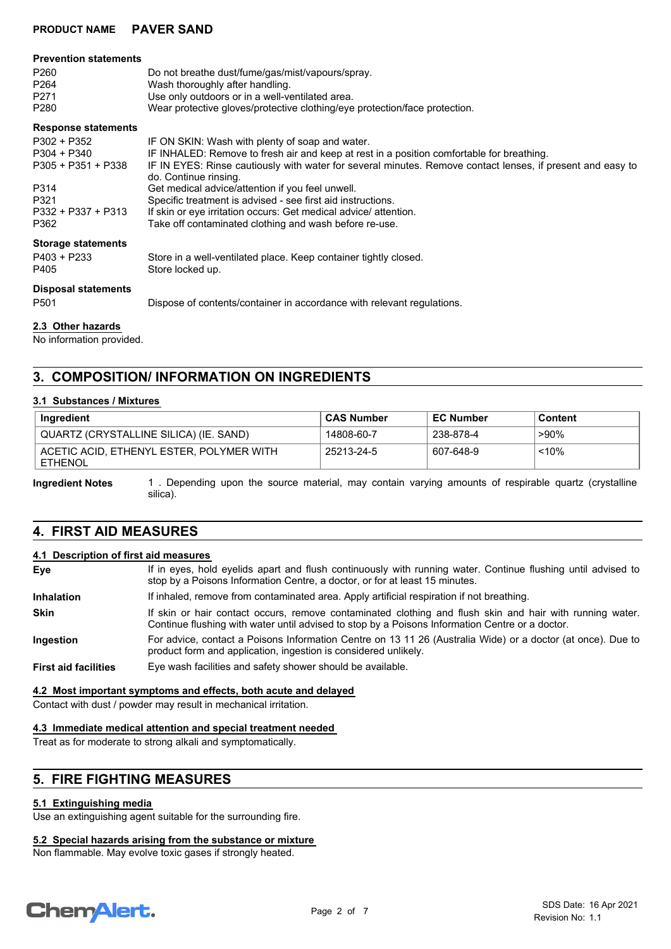#### **Prevention statements**

| P <sub>260</sub> | Do not breathe dust/fume/gas/mist/vapours/spray.                           |
|------------------|----------------------------------------------------------------------------|
| P <sub>264</sub> | Wash thoroughly after handling.                                            |
| P <sub>271</sub> | Use only outdoors or in a well-ventilated area.                            |
| P280             | Wear protective gloves/protective clothing/eye protection/face protection. |

#### **Response statements**

| $P302 + P352$<br>$P304 + P340$<br>$P305 + P351 + P338$<br>P314<br>P321<br>P332 + P337 + P313<br>P362 | IF ON SKIN: Wash with plenty of soap and water.<br>IF INHALED: Remove to fresh air and keep at rest in a position comfortable for breathing.<br>IF IN EYES: Rinse cautiously with water for several minutes. Remove contact lenses, if present and easy to<br>do. Continue rinsing.<br>Get medical advice/attention if you feel unwell.<br>Specific treatment is advised - see first aid instructions.<br>If skin or eye irritation occurs: Get medical advice/ attention.<br>Take off contaminated clothing and wash before re-use. |
|------------------------------------------------------------------------------------------------------|--------------------------------------------------------------------------------------------------------------------------------------------------------------------------------------------------------------------------------------------------------------------------------------------------------------------------------------------------------------------------------------------------------------------------------------------------------------------------------------------------------------------------------------|
| <b>Storage statements</b><br>$P403 + P233$<br>P405                                                   | Store in a well-ventilated place. Keep container tightly closed.<br>Store locked up.                                                                                                                                                                                                                                                                                                                                                                                                                                                 |
| <b>Disposal statements</b><br>P <sub>501</sub>                                                       | Dispose of contents/container in accordance with relevant regulations.                                                                                                                                                                                                                                                                                                                                                                                                                                                               |

#### **2.3 Other hazards**

No information provided.

## **3. COMPOSITION/ INFORMATION ON INGREDIENTS**

#### **3.1 Substances / Mixtures**

| <b>Ingredient</b>                                          | <b>CAS Number</b> | <b>EC Number</b> | Content |
|------------------------------------------------------------|-------------------|------------------|---------|
| QUARTZ (CRYSTALLINE SILICA) (IE. SAND)                     | 14808-60-7        | 238-878-4        | ∍90%    |
| ACETIC ACID. ETHENYL ESTER. POLYMER WITH<br><b>ETHENOL</b> | 25213-24-5        | 607-648-9        | $~10\%$ |

1 . Depending upon the source material, may contain varying amounts of respirable quartz (crystalline silica). **Ingredient Notes**

## **4. FIRST AID MEASURES**

#### **4.1 Description of first aid measures**

| Eye                         | If in eyes, hold eyelids apart and flush continuously with running water. Continue flushing until advised to<br>stop by a Poisons Information Centre, a doctor, or for at least 15 minutes.                 |
|-----------------------------|-------------------------------------------------------------------------------------------------------------------------------------------------------------------------------------------------------------|
| <b>Inhalation</b>           | If inhaled, remove from contaminated area. Apply artificial respiration if not breathing.                                                                                                                   |
| <b>Skin</b>                 | If skin or hair contact occurs, remove contaminated clothing and flush skin and hair with running water.<br>Continue flushing with water until advised to stop by a Poisons Information Centre or a doctor. |
| Ingestion                   | For advice, contact a Poisons Information Centre on 13 11 26 (Australia Wide) or a doctor (at once). Due to<br>product form and application, ingestion is considered unlikely.                              |
| <b>First aid facilities</b> | Eye wash facilities and safety shower should be available.                                                                                                                                                  |

#### **4.2 Most important symptoms and effects, both acute and delayed**

Contact with dust / powder may result in mechanical irritation.

#### **4.3 Immediate medical attention and special treatment needed**

Treat as for moderate to strong alkali and symptomatically.

## **5. FIRE FIGHTING MEASURES**

#### **5.1 Extinguishing media**

Use an extinguishing agent suitable for the surrounding fire.

#### **5.2 Special hazards arising from the substance or mixture**

Non flammable. May evolve toxic gases if strongly heated.

# **Chemalert.**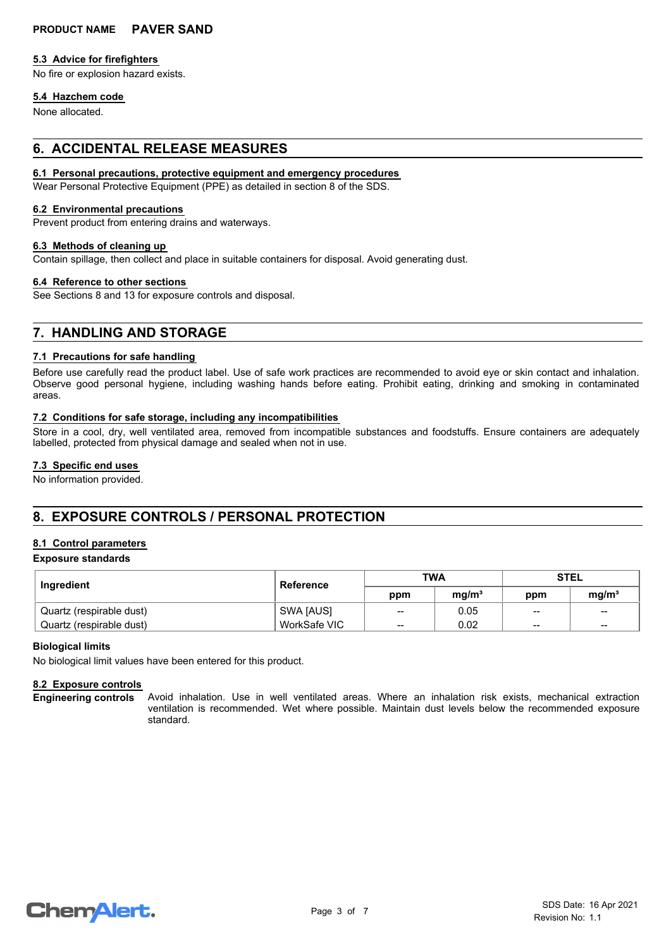#### **5.3 Advice for firefighters**

No fire or explosion hazard exists.

#### **5.4 Hazchem code**

None allocated.

## **6. ACCIDENTAL RELEASE MEASURES**

#### **6.1 Personal precautions, protective equipment and emergency procedures**

Wear Personal Protective Equipment (PPE) as detailed in section 8 of the SDS.

#### **6.2 Environmental precautions**

Prevent product from entering drains and waterways.

#### **6.3 Methods of cleaning up**

Contain spillage, then collect and place in suitable containers for disposal. Avoid generating dust.

#### **6.4 Reference to other sections**

See Sections 8 and 13 for exposure controls and disposal.

## **7. HANDLING AND STORAGE**

#### **7.1 Precautions for safe handling**

Before use carefully read the product label. Use of safe work practices are recommended to avoid eye or skin contact and inhalation. Observe good personal hygiene, including washing hands before eating. Prohibit eating, drinking and smoking in contaminated areas.

#### **7.2 Conditions for safe storage, including any incompatibilities**

Store in a cool, dry, well ventilated area, removed from incompatible substances and foodstuffs. Ensure containers are adequately labelled, protected from physical damage and sealed when not in use.

#### **7.3 Specific end uses**

No information provided.

## **8. EXPOSURE CONTROLS / PERSONAL PROTECTION**

#### **8.1 Control parameters**

#### **Exposure standards**

| Ingredient               | Reference    | <b>TWA</b> |                   | STEL                   |                   |
|--------------------------|--------------|------------|-------------------|------------------------|-------------------|
|                          |              | ppm        | mg/m <sup>3</sup> | ppm                    | mg/m <sup>3</sup> |
| Quartz (respirable dust) | SWA [AUS]    | $-$        | 0.05              | $\qquad \qquad \cdots$ | $\sim$            |
| Quartz (respirable dust) | WorkSafe VIC | $- -$      | 0.02              | $\qquad \qquad$        | $\qquad \qquad$   |

#### **Biological limits**

No biological limit values have been entered for this product.

#### **8.2 Exposure controls**

**Engineering controls**

Avoid inhalation. Use in well ventilated areas. Where an inhalation risk exists, mechanical extraction ventilation is recommended. Wet where possible. Maintain dust levels below the recommended exposure standard.

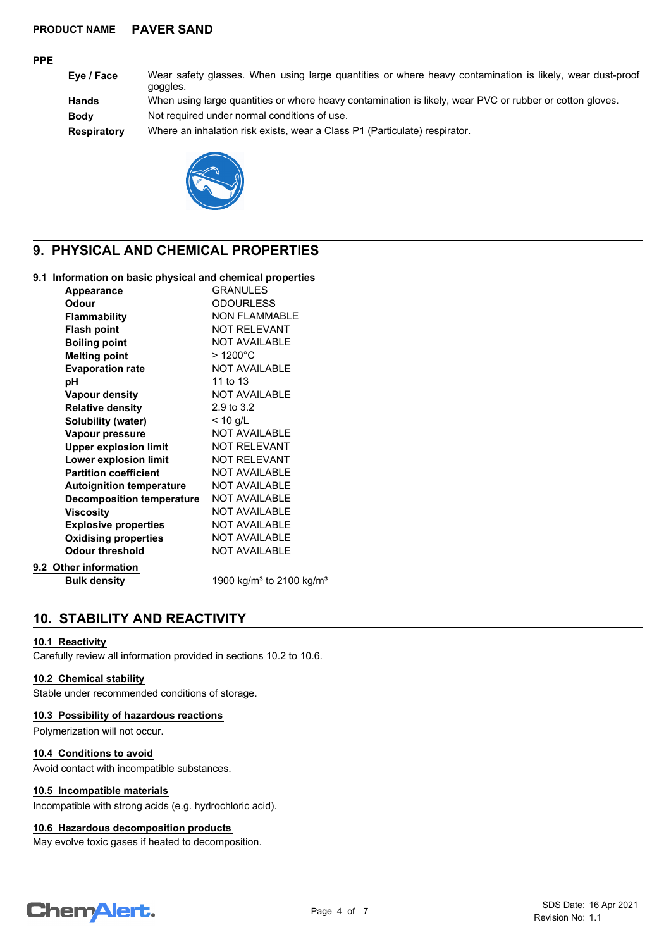#### **PPE**

**Eye / Face** Wear safety glasses. When using large quantities or where heavy contamination is likely, wear dust-proof goggles.

**Hands** When using large quantities or where heavy contamination is likely, wear PVC or rubber or cotton gloves.

**Body** Not required under normal conditions of use.

**Respiratory** Where an inhalation risk exists, wear a Class P1 (Particulate) respirator.



## **9. PHYSICAL AND CHEMICAL PROPERTIES**

#### **9.1 Information on basic physical and chemical properties**

| <b>Appearance</b>                | <b>GRANULES</b>                                  |
|----------------------------------|--------------------------------------------------|
| <b>Odour</b>                     | <b>ODOURLESS</b>                                 |
| <b>Flammability</b>              | <b>NON FLAMMABLE</b>                             |
| <b>Flash point</b>               | <b>NOT RELEVANT</b>                              |
| <b>Boiling point</b>             | <b>NOT AVAILABLE</b>                             |
| <b>Melting point</b>             | $>1200^{\circ}$ C                                |
| <b>Evaporation rate</b>          | <b>NOT AVAILABLE</b>                             |
| рH                               | 11 to 13                                         |
| Vapour density                   | <b>NOT AVAILABLE</b>                             |
| <b>Relative density</b>          | 2.9 to 3.2                                       |
| Solubility (water)               | $< 10$ g/L                                       |
| Vapour pressure                  | <b>NOT AVAILABLE</b>                             |
| <b>Upper explosion limit</b>     | <b>NOT RELEVANT</b>                              |
| Lower explosion limit            | <b>NOT RELEVANT</b>                              |
| <b>Partition coefficient</b>     | <b>NOT AVAILABLE</b>                             |
| <b>Autoignition temperature</b>  | <b>NOT AVAILABLE</b>                             |
| <b>Decomposition temperature</b> | <b>NOT AVAILABLE</b>                             |
| <b>Viscosity</b>                 | <b>NOT AVAILABLE</b>                             |
| <b>Explosive properties</b>      | <b>NOT AVAILABLE</b>                             |
| <b>Oxidising properties</b>      | <b>NOT AVAILABLE</b>                             |
| <b>Odour threshold</b>           | <b>NOT AVAILABLE</b>                             |
| 9.2 Other information            |                                                  |
| <b>Bulk density</b>              | 1900 kg/m <sup>3</sup> to 2100 kg/m <sup>3</sup> |

## **10. STABILITY AND REACTIVITY**

#### **10.1 Reactivity**

Carefully review all information provided in sections 10.2 to 10.6.

#### **10.2 Chemical stability**

Stable under recommended conditions of storage.

#### **10.3 Possibility of hazardous reactions**

Polymerization will not occur.

#### **10.4 Conditions to avoid**

Avoid contact with incompatible substances.

#### **10.5 Incompatible materials**

Incompatible with strong acids (e.g. hydrochloric acid).

#### **10.6 Hazardous decomposition products**

May evolve toxic gases if heated to decomposition.

# **ChemAlert.**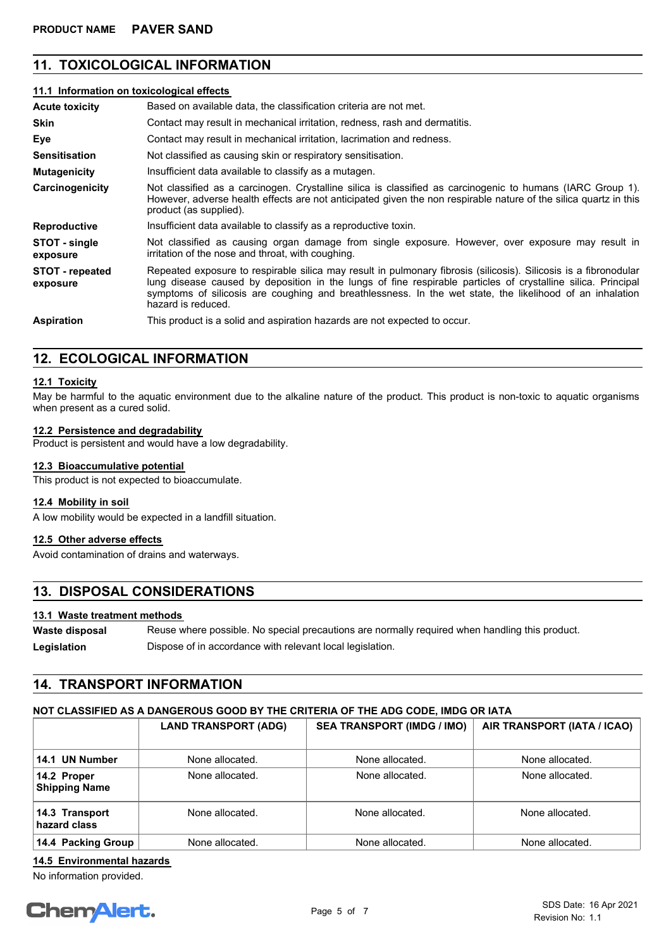## **11. TOXICOLOGICAL INFORMATION**

#### **11.1 Information on toxicological effects**

| <b>Acute toxicity</b>              | Based on available data, the classification criteria are not met.                                                                                                                                                                                                                                                                                                  |
|------------------------------------|--------------------------------------------------------------------------------------------------------------------------------------------------------------------------------------------------------------------------------------------------------------------------------------------------------------------------------------------------------------------|
| <b>Skin</b>                        | Contact may result in mechanical irritation, redness, rash and dermatitis.                                                                                                                                                                                                                                                                                         |
| Eye                                | Contact may result in mechanical irritation, lacrimation and redness.                                                                                                                                                                                                                                                                                              |
| <b>Sensitisation</b>               | Not classified as causing skin or respiratory sensitisation.                                                                                                                                                                                                                                                                                                       |
| <b>Mutagenicity</b>                | Insufficient data available to classify as a mutagen.                                                                                                                                                                                                                                                                                                              |
| Carcinogenicity                    | Not classified as a carcinogen. Crystalline silica is classified as carcinogenic to humans (IARC Group 1).<br>However, adverse health effects are not anticipated given the non respirable nature of the silica quartz in this<br>product (as supplied).                                                                                                           |
| <b>Reproductive</b>                | Insufficient data available to classify as a reproductive toxin.                                                                                                                                                                                                                                                                                                   |
| STOT - single<br>exposure          | Not classified as causing organ damage from single exposure. However, over exposure may result in<br>irritation of the nose and throat, with coughing.                                                                                                                                                                                                             |
| <b>STOT</b> - repeated<br>exposure | Repeated exposure to respirable silica may result in pulmonary fibrosis (silicosis). Silicosis is a fibronodular<br>lung disease caused by deposition in the lungs of fine respirable particles of crystalline silica. Principal<br>symptoms of silicosis are coughing and breathlessness. In the wet state, the likelihood of an inhalation<br>hazard is reduced. |
| <b>Aspiration</b>                  | This product is a solid and aspiration hazards are not expected to occur.                                                                                                                                                                                                                                                                                          |

### **12. ECOLOGICAL INFORMATION**

#### **12.1 Toxicity**

May be harmful to the aquatic environment due to the alkaline nature of the product. This product is non-toxic to aquatic organisms when present as a cured solid.

#### **12.2 Persistence and degradability**

Product is persistent and would have a low degradability.

#### **12.3 Bioaccumulative potential**

This product is not expected to bioaccumulate.

#### **12.4 Mobility in soil**

A low mobility would be expected in a landfill situation.

#### **12.5 Other adverse effects**

Avoid contamination of drains and waterways.

### **13. DISPOSAL CONSIDERATIONS**

#### **13.1 Waste treatment methods**

Reuse where possible. No special precautions are normally required when handling this product. **Waste disposal** Legislation **Dispose of in accordance with relevant local legislation.** 

## **14. TRANSPORT INFORMATION**

#### **NOT CLASSIFIED AS A DANGEROUS GOOD BY THE CRITERIA OF THE ADG CODE, IMDG OR IATA**

|                                     | <b>LAND TRANSPORT (ADG)</b> | <b>SEA TRANSPORT (IMDG / IMO)</b> | AIR TRANSPORT (IATA / ICAO) |
|-------------------------------------|-----------------------------|-----------------------------------|-----------------------------|
| 14.1 UN Number                      | None allocated.             | None allocated.                   | None allocated.             |
| 14.2 Proper<br><b>Shipping Name</b> | None allocated.             | None allocated.                   | None allocated.             |
| 14.3 Transport<br>hazard class      | None allocated.             | None allocated.                   | None allocated.             |
| 14.4 Packing Group                  | None allocated.             | None allocated.                   | None allocated.             |

### **14.5 Environmental hazards**

No information provided.

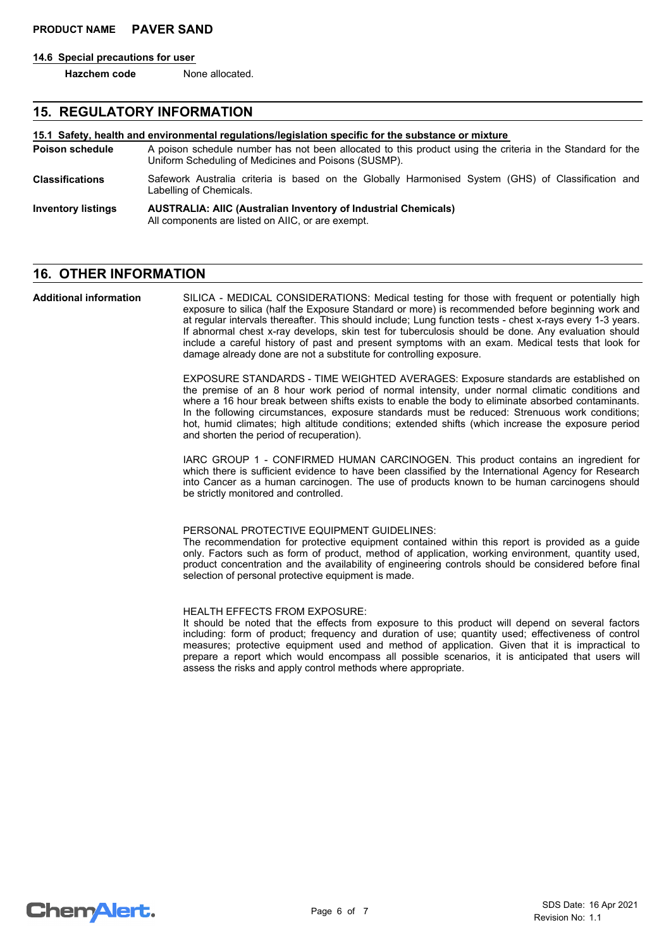#### **14.6 Special precautions for user**

**Hazchem code** None allocated.

#### **15. REGULATORY INFORMATION**

## **15.1 Safety, health and environmental regulations/legislation specific for the substance or mixture**

- A poison schedule number has not been allocated to this product using the criteria in the Standard for the Uniform Scheduling of Medicines and Poisons (SUSMP). **Poison schedule**
- Safework Australia criteria is based on the Globally Harmonised System (GHS) of Classification and Labelling of Chemicals. **Classifications**

#### **AUSTRALIA: AIIC (Australian Inventory of Industrial Chemicals)** All components are listed on AIIC, or are exempt. **Inventory listings**

## **16. OTHER INFORMATION**

SILICA - MEDICAL CONSIDERATIONS: Medical testing for those with frequent or potentially high exposure to silica (half the Exposure Standard or more) is recommended before beginning work and at regular intervals thereafter. This should include; Lung function tests - chest x-rays every 1-3 years. If abnormal chest x-ray develops, skin test for tuberculosis should be done. Any evaluation should include a careful history of past and present symptoms with an exam. Medical tests that look for damage already done are not a substitute for controlling exposure. **Additional information**

> EXPOSURE STANDARDS - TIME WEIGHTED AVERAGES: Exposure standards are established on the premise of an 8 hour work period of normal intensity, under normal climatic conditions and where a 16 hour break between shifts exists to enable the body to eliminate absorbed contaminants. In the following circumstances, exposure standards must be reduced: Strenuous work conditions; hot, humid climates; high altitude conditions; extended shifts (which increase the exposure period and shorten the period of recuperation).

> IARC GROUP 1 - CONFIRMED HUMAN CARCINOGEN. This product contains an ingredient for which there is sufficient evidence to have been classified by the International Agency for Research into Cancer as a human carcinogen. The use of products known to be human carcinogens should be strictly monitored and controlled.

#### PERSONAL PROTECTIVE EQUIPMENT GUIDELINES:

The recommendation for protective equipment contained within this report is provided as a guide only. Factors such as form of product, method of application, working environment, quantity used, product concentration and the availability of engineering controls should be considered before final selection of personal protective equipment is made.

#### HEALTH EFFECTS FROM EXPOSURE:

It should be noted that the effects from exposure to this product will depend on several factors including: form of product; frequency and duration of use; quantity used; effectiveness of control measures; protective equipment used and method of application. Given that it is impractical to prepare a report which would encompass all possible scenarios, it is anticipated that users will assess the risks and apply control methods where appropriate.